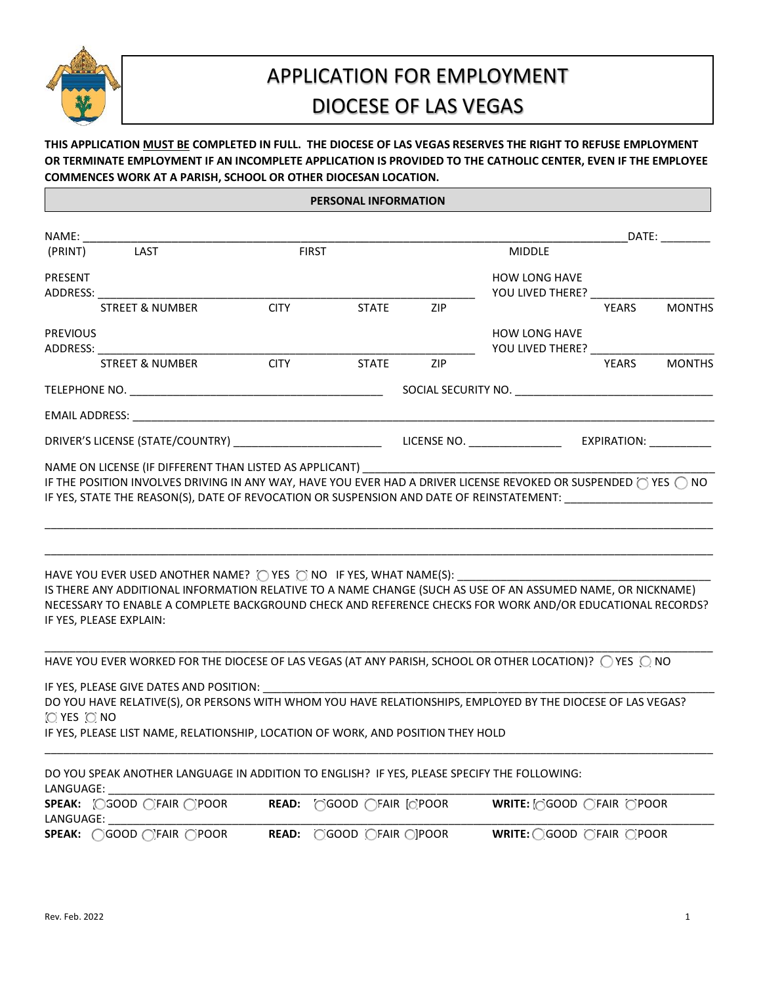

# APPLICATION FOR EMPLOYMENT DIOCESE OF LAS VEGAS

## **THIS APPLICATION MUST BE COMPLETED IN FULL. THE DIOCESE OF LAS VEGAS RESERVES THE RIGHT TO REFUSE EMPLOYMENT OR TERMINATE EMPLOYMENT IF AN INCOMPLETE APPLICATION IS PROVIDED TO THE CATHOLIC CENTER, EVEN IF THE EMPLOYEE COMMENCES WORK AT A PARISH, SCHOOL OR OTHER DIOCESAN LOCATION.**

#### **PERSONAL INFORMATION**

| NAME:                       |                                                                                                                                                                                                                                                                                                                                                 |              |              |                                                      |                                                    |              | DATE: _________    |
|-----------------------------|-------------------------------------------------------------------------------------------------------------------------------------------------------------------------------------------------------------------------------------------------------------------------------------------------------------------------------------------------|--------------|--------------|------------------------------------------------------|----------------------------------------------------|--------------|--------------------|
| (PRINT)                     | LAST                                                                                                                                                                                                                                                                                                                                            | <b>FIRST</b> |              |                                                      | <b>MIDDLE</b>                                      |              |                    |
| <b>PRESENT</b><br>ADDRESS:  |                                                                                                                                                                                                                                                                                                                                                 |              |              |                                                      | <b>HOW LONG HAVE</b><br>YOU LIVED THERE?           |              |                    |
|                             | <b>STREET &amp; NUMBER</b>                                                                                                                                                                                                                                                                                                                      | <b>CITY</b>  | <b>STATE</b> | ZIP                                                  |                                                    | YEARS        | <b>MONTHS</b>      |
| <b>PREVIOUS</b><br>ADDRESS: |                                                                                                                                                                                                                                                                                                                                                 |              |              |                                                      | <b>HOW LONG HAVE</b><br>YOU LIVED THERE? _________ |              |                    |
|                             | <b>STREET &amp; NUMBER</b>                                                                                                                                                                                                                                                                                                                      | <b>CITY</b>  | <b>STATE</b> | ZIP                                                  |                                                    | <b>YEARS</b> | <b>MONTHS</b>      |
|                             | TELEPHONE NO. THE RESIDENCE OF A STATE OF THE RESIDENCE OF A STATE OF THE RESIDENCE OF A STATE OF THE RESIDENCE OF A STATE OF A STATE OF THE STATE OF A STATE OF THE STATE OF A STATE OF A STATE OF A STATE OF A STATE OF A ST                                                                                                                  |              |              |                                                      |                                                    |              |                    |
|                             | EMAIL ADDRESS: The contract of the contract of the contract of the contract of the contract of the contract of the contract of the contract of the contract of the contract of the contract of the contract of the contract of                                                                                                                  |              |              |                                                      |                                                    |              |                    |
|                             |                                                                                                                                                                                                                                                                                                                                                 |              |              |                                                      |                                                    |              | <b>EXPIRATION:</b> |
|                             | IF YES, STATE THE REASON(S), DATE OF REVOCATION OR SUSPENSION AND DATE OF REINSTATEMENT:<br>IS THERE ANY ADDITIONAL INFORMATION RELATIVE TO A NAME CHANGE (SUCH AS USE OF AN ASSUMED NAME, OR NICKNAME)<br>NECESSARY TO ENABLE A COMPLETE BACKGROUND CHECK AND REFERENCE CHECKS FOR WORK AND/OR EDUCATIONAL RECORDS?<br>IF YES, PLEASE EXPLAIN: |              |              |                                                      |                                                    |              |                    |
|                             | HAVE YOU EVER WORKED FOR THE DIOCESE OF LAS VEGAS (AT ANY PARISH, SCHOOL OR OTHER LOCATION)? ○ YES ○ NO                                                                                                                                                                                                                                         |              |              |                                                      |                                                    |              |                    |
| O YES ONO                   | IF YES, PLEASE GIVE DATES AND POSITION:<br>DO YOU HAVE RELATIVE(S), OR PERSONS WITH WHOM YOU HAVE RELATIONSHIPS, EMPLOYED BY THE DIOCESE OF LAS VEGAS?<br>IF YES, PLEASE LIST NAME, RELATIONSHIP, LOCATION OF WORK, AND POSITION THEY HOLD                                                                                                      |              |              |                                                      |                                                    |              |                    |
| LANGUAGE:                   | DO YOU SPEAK ANOTHER LANGUAGE IN ADDITION TO ENGLISH? IF YES, PLEASE SPECIFY THE FOLLOWING:                                                                                                                                                                                                                                                     |              |              |                                                      |                                                    |              |                    |
| LANGUAGE:                   | SPEAK: CGOOD CFAIR CPOOR                                                                                                                                                                                                                                                                                                                        |              |              | $READ:$ $\bigcap$ GOOD $\bigcap$ FAIR $\bigcap$ POOR | WRITE: [GOOD CFAIR OPOOR                           |              |                    |

**SPEAK:**  $\bigcirc$  GOOD  $\bigcirc$  FAIR  $\bigcirc$  POOR **READ:**  $\bigcirc$  GOOD  $\bigcirc$  FAIR  $\bigcirc$  POOR **WRITE:**  $\bigcirc$  GOOD  $\bigcirc$  FAIR  $\bigcirc$  POOR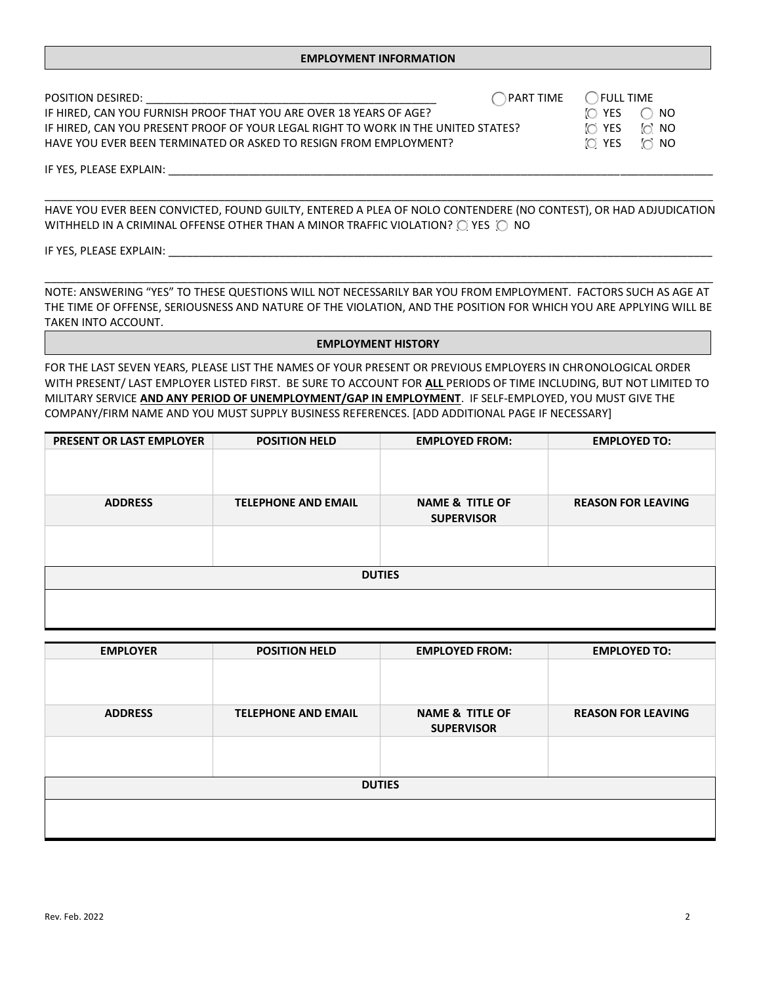| POSITION DESIRED:                                                                 | PART TIME ( ) FULL TIME |          |            |  |
|-----------------------------------------------------------------------------------|-------------------------|----------|------------|--|
| IF HIRED, CAN YOU FURNISH PROOF THAT YOU ARE OVER 18 YEARS OF AGE?                |                         | YES<br>n | NO.        |  |
| IF HIRED, CAN YOU PRESENT PROOF OF YOUR LEGAL RIGHT TO WORK IN THE UNITED STATES? |                         | IO YES   | ි NO       |  |
| HAVE YOU EVER BEEN TERMINATED OR ASKED TO RESIGN FROM EMPLOYMENT?                 |                         | IO YES   | $\circ$ NO |  |
| IF YES, PLEASE EXPLAIN:                                                           |                         |          |            |  |

\_\_\_\_\_\_\_\_\_\_\_\_\_\_\_\_\_\_\_\_\_\_\_\_\_\_\_\_\_\_\_\_\_\_\_\_\_\_\_\_\_\_\_\_\_\_\_\_\_\_\_\_\_\_\_\_\_\_\_\_\_\_\_\_\_\_\_\_\_\_\_\_\_\_\_\_\_\_\_\_\_\_\_\_\_\_\_\_\_\_\_\_\_\_\_\_\_\_\_\_\_\_\_\_\_\_\_\_ HAVE YOU EVER BEEN CONVICTED, FOUND GUILTY, ENTERED A PLEA OF NOLO CONTENDERE (NO CONTEST), OR HAD ADJUDICATION WITHHELD IN A CRIMINAL OFFENSE OTHER THAN A MINOR TRAFFIC VIOLATION?  $\bigcirc$  YES  $\bigcirc$  NO

IF YES, PLEASE EXPLAIN: \_

NOTE: ANSWERING "YES" TO THESE QUESTIONS WILL NOT NECESSARILY BAR YOU FROM EMPLOYMENT. FACTORS SUCH AS AGE AT THE TIME OF OFFENSE, SERIOUSNESS AND NATURE OF THE VIOLATION, AND THE POSITION FOR WHICH YOU ARE APPLYING WILL BE TAKEN INTO ACCOUNT.

\_\_\_\_\_\_\_\_\_\_\_\_\_\_\_\_\_\_\_\_\_\_\_\_\_\_\_\_\_\_\_\_\_\_\_\_\_\_\_\_\_\_\_\_\_\_\_\_\_\_\_\_\_\_\_\_\_\_\_\_\_\_\_\_\_\_\_\_\_\_\_\_\_\_\_\_\_\_\_\_\_\_\_\_\_\_\_\_\_\_\_\_\_\_\_\_\_\_\_\_\_\_\_\_\_\_\_\_

#### **EMPLOYMENT HISTORY**

FOR THE LAST SEVEN YEARS, PLEASE LIST THE NAMES OF YOUR PRESENT OR PREVIOUS EMPLOYERS IN CHRONOLOGICAL ORDER WITH PRESENT/ LAST EMPLOYER LISTED FIRST. BE SURE TO ACCOUNT FOR **ALL** PERIODS OF TIME INCLUDING, BUT NOT LIMITED TO MILITARY SERVICE **AND ANY PERIOD OF UNEMPLOYMENT/GAP IN EMPLOYMENT**. IF SELF-EMPLOYED, YOU MUST GIVE THE COMPANY/FIRM NAME AND YOU MUST SUPPLY BUSINESS REFERENCES. [ADD ADDITIONAL PAGE IF NECESSARY]

| <b>PRESENT OR LAST EMPLOYER</b> | <b>POSITION HELD</b>       | <b>EMPLOYED FROM:</b>                           | <b>EMPLOYED TO:</b>       |
|---------------------------------|----------------------------|-------------------------------------------------|---------------------------|
|                                 |                            |                                                 |                           |
|                                 |                            |                                                 |                           |
| <b>ADDRESS</b>                  | <b>TELEPHONE AND EMAIL</b> | <b>NAME &amp; TITLE OF</b><br><b>SUPERVISOR</b> | <b>REASON FOR LEAVING</b> |
|                                 |                            |                                                 |                           |
|                                 |                            |                                                 |                           |
|                                 |                            | <b>DUTIES</b>                                   |                           |
|                                 |                            |                                                 |                           |
|                                 |                            |                                                 |                           |

| <b>EMPLOYER</b> | <b>POSITION HELD</b>       | <b>EMPLOYED FROM:</b>                           | <b>EMPLOYED TO:</b>       |
|-----------------|----------------------------|-------------------------------------------------|---------------------------|
|                 |                            |                                                 |                           |
| <b>ADDRESS</b>  | <b>TELEPHONE AND EMAIL</b> | <b>NAME &amp; TITLE OF</b><br><b>SUPERVISOR</b> | <b>REASON FOR LEAVING</b> |
|                 |                            |                                                 |                           |
|                 |                            | <b>DUTIES</b>                                   |                           |
|                 |                            |                                                 |                           |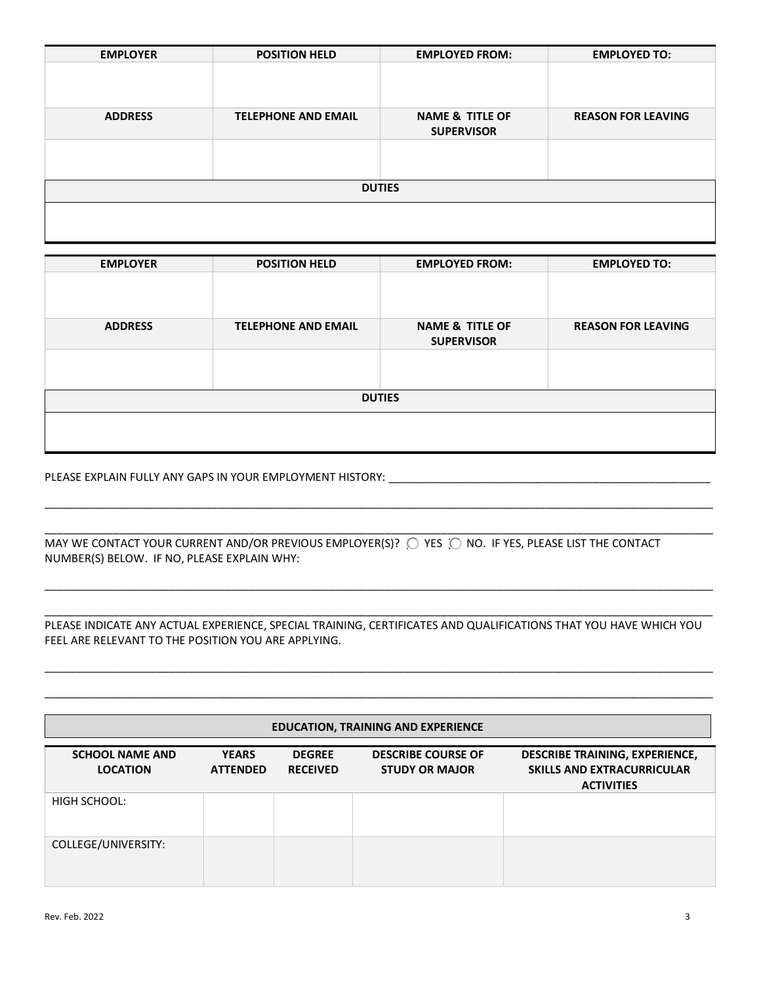| <b>EMPLOYER</b> | <b>POSITION HELD</b>       | <b>EMPLOYED FROM:</b>                           | <b>EMPLOYED TO:</b>       |
|-----------------|----------------------------|-------------------------------------------------|---------------------------|
|                 |                            |                                                 |                           |
|                 |                            |                                                 |                           |
| <b>ADDRESS</b>  | <b>TELEPHONE AND EMAIL</b> | <b>NAME &amp; TITLE OF</b><br><b>SUPERVISOR</b> | <b>REASON FOR LEAVING</b> |
|                 |                            |                                                 |                           |
|                 |                            |                                                 |                           |
|                 |                            | <b>DUTIES</b>                                   |                           |
|                 |                            |                                                 |                           |
|                 |                            |                                                 |                           |

| <b>EMPLOYER</b> | <b>POSITION HELD</b>       | <b>EMPLOYED FROM:</b>                           | <b>EMPLOYED TO:</b>       |
|-----------------|----------------------------|-------------------------------------------------|---------------------------|
|                 |                            |                                                 |                           |
|                 |                            |                                                 |                           |
| <b>ADDRESS</b>  | <b>TELEPHONE AND EMAIL</b> | <b>NAME &amp; TITLE OF</b><br><b>SUPERVISOR</b> | <b>REASON FOR LEAVING</b> |
|                 |                            |                                                 |                           |
|                 |                            |                                                 |                           |
|                 |                            | <b>DUTIES</b>                                   |                           |
|                 |                            |                                                 |                           |
|                 |                            |                                                 |                           |

\_\_\_\_\_\_\_\_\_\_\_\_\_\_\_\_\_\_\_\_\_\_\_\_\_\_\_\_\_\_\_\_\_\_\_\_\_\_\_\_\_\_\_\_\_\_\_\_\_\_\_\_\_\_\_\_\_\_\_\_\_\_\_\_\_\_\_\_\_\_\_\_\_\_\_\_\_\_\_\_\_\_\_\_\_\_\_\_\_\_\_\_\_\_\_\_\_\_\_\_\_\_\_\_\_\_\_\_

\_\_\_\_\_\_\_\_\_\_\_\_\_\_\_\_\_\_\_\_\_\_\_\_\_\_\_\_\_\_\_\_\_\_\_\_\_\_\_\_\_\_\_\_\_\_\_\_\_\_\_\_\_\_\_\_\_\_\_\_\_\_\_\_\_\_\_\_\_\_\_\_\_\_\_\_\_\_\_\_\_\_\_\_\_\_\_\_\_\_\_\_\_\_\_\_\_\_\_\_\_\_\_\_\_\_\_\_

\_\_\_\_\_\_\_\_\_\_\_\_\_\_\_\_\_\_\_\_\_\_\_\_\_\_\_\_\_\_\_\_\_\_\_\_\_\_\_\_\_\_\_\_\_\_\_\_\_\_\_\_\_\_\_\_\_\_\_\_\_\_\_\_\_\_\_\_\_\_\_\_\_\_\_\_\_\_\_\_\_\_\_\_\_\_\_\_\_\_\_\_\_\_\_\_\_\_\_\_\_\_\_\_\_\_\_\_

#### PLEASE EXPLAIN FULLY ANY GAPS IN YOUR EMPLOYMENT HISTORY: \_\_\_\_\_\_\_\_\_\_\_\_\_\_\_\_\_\_\_\_\_\_\_\_\_\_\_\_\_\_\_\_\_\_\_\_\_\_\_\_\_\_\_\_\_\_\_\_\_\_\_\_

| MAY WE CONTACT YOUR CURRENT AND/OR PREVIOUS EMPLOYER(S)? O YES O NO. IF YES, PLEASE LIST THE CONTACT |  |
|------------------------------------------------------------------------------------------------------|--|
| NUMBER(S) BELOW. IF NO, PLEASE EXPLAIN WHY:                                                          |  |

#### \_\_\_\_\_\_\_\_\_\_\_\_\_\_\_\_\_\_\_\_\_\_\_\_\_\_\_\_\_\_\_\_\_\_\_\_\_\_\_\_\_\_\_\_\_\_\_\_\_\_\_\_\_\_\_\_\_\_\_\_\_\_\_\_\_\_\_\_\_\_\_\_\_\_\_\_\_\_\_\_\_\_\_\_\_\_\_\_\_\_\_\_\_\_\_\_\_\_\_\_\_\_\_\_\_\_\_\_ PLEASE INDICATE ANY ACTUAL EXPERIENCE, SPECIAL TRAINING, CERTIFICATES AND QUALIFICATIONS THAT YOU HAVE WHICH YOU FEEL ARE RELEVANT TO THE POSITION YOU ARE APPLYING.

\_\_\_\_\_\_\_\_\_\_\_\_\_\_\_\_\_\_\_\_\_\_\_\_\_\_\_\_\_\_\_\_\_\_\_\_\_\_\_\_\_\_\_\_\_\_\_\_\_\_\_\_\_\_\_\_\_\_\_\_\_\_\_\_\_\_\_\_\_\_\_\_\_\_\_\_\_\_\_\_\_\_\_\_\_\_\_\_\_\_\_\_\_\_\_\_\_\_\_\_\_\_\_\_\_\_\_\_

\_\_\_\_\_\_\_\_\_\_\_\_\_\_\_\_\_\_\_\_\_\_\_\_\_\_\_\_\_\_\_\_\_\_\_\_\_\_\_\_\_\_\_\_\_\_\_\_\_\_\_\_\_\_\_\_\_\_\_\_\_\_\_\_\_\_\_\_\_\_\_\_\_\_\_\_\_\_\_\_\_\_\_\_\_\_\_\_\_\_\_\_\_\_\_\_\_\_\_\_\_\_\_\_\_\_\_\_

| <b>EDUCATION, TRAINING AND EXPERIENCE</b> |                                 |                                  |                                                    |                                                                                                 |  |  |
|-------------------------------------------|---------------------------------|----------------------------------|----------------------------------------------------|-------------------------------------------------------------------------------------------------|--|--|
| <b>SCHOOL NAME AND</b><br><b>LOCATION</b> | <b>YEARS</b><br><b>ATTENDED</b> | <b>DEGREE</b><br><b>RECEIVED</b> | <b>DESCRIBE COURSE OF</b><br><b>STUDY OR MAJOR</b> | <b>DESCRIBE TRAINING, EXPERIENCE,</b><br><b>SKILLS AND EXTRACURRICULAR</b><br><b>ACTIVITIES</b> |  |  |
| HIGH SCHOOL:                              |                                 |                                  |                                                    |                                                                                                 |  |  |
| COLLEGE/UNIVERSITY:                       |                                 |                                  |                                                    |                                                                                                 |  |  |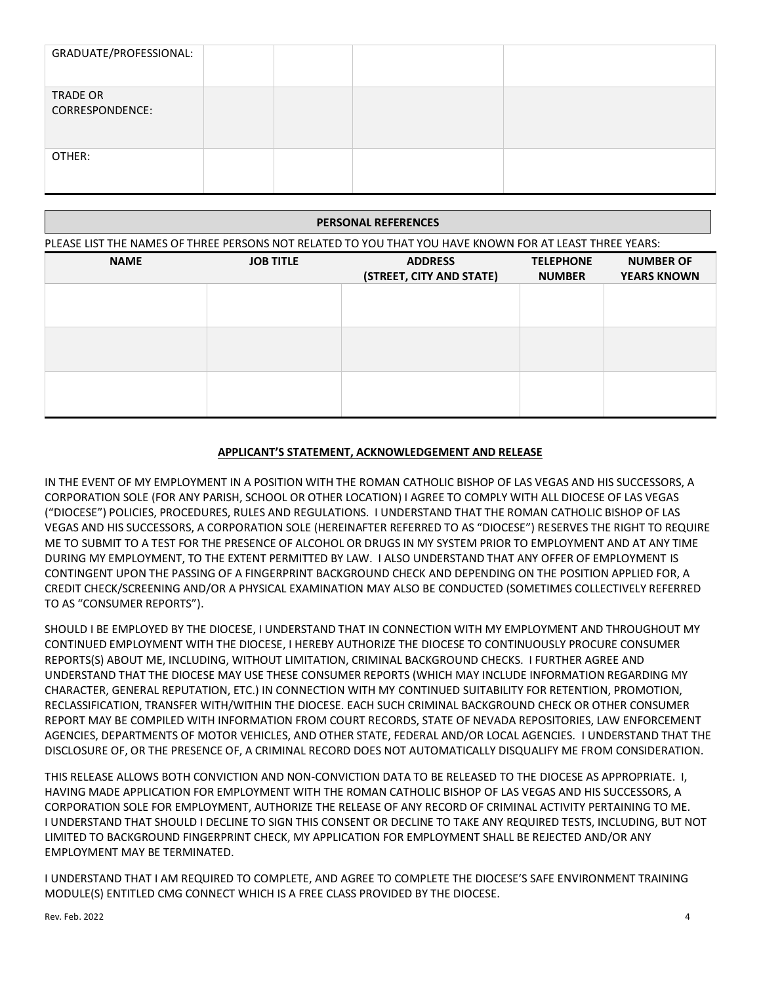| GRADUATE/PROFESSIONAL:      |  |  |
|-----------------------------|--|--|
| TRADE OR<br>CORRESPONDENCE: |  |  |
| OTHER:                      |  |  |

# PLEASE LIST THE NAMES OF THREE PERSONS NOT RELATED TO YOU THAT YOU HAVE KNOWN FOR AT LEAST THREE YEARS: **NAME JOB TITLE ADDRESS (STREET, CITY AND STATE) TELEPHONE NUMBER NUMBER OF YEARS KNOWN PERSONAL REFERENCES**

### **APPLICANT'S STATEMENT, ACKNOWLEDGEMENT AND RELEASE**

IN THE EVENT OF MY EMPLOYMENT IN A POSITION WITH THE ROMAN CATHOLIC BISHOP OF LAS VEGAS AND HIS SUCCESSORS, A CORPORATION SOLE (FOR ANY PARISH, SCHOOL OR OTHER LOCATION) I AGREE TO COMPLY WITH ALL DIOCESE OF LAS VEGAS ("DIOCESE") POLICIES, PROCEDURES, RULES AND REGULATIONS. I UNDERSTAND THAT THE ROMAN CATHOLIC BISHOP OF LAS VEGAS AND HIS SUCCESSORS, A CORPORATION SOLE (HEREINAFTER REFERRED TO AS "DIOCESE") RESERVES THE RIGHT TO REQUIRE ME TO SUBMIT TO A TEST FOR THE PRESENCE OF ALCOHOL OR DRUGS IN MY SYSTEM PRIOR TO EMPLOYMENT AND AT ANY TIME DURING MY EMPLOYMENT, TO THE EXTENT PERMITTED BY LAW. I ALSO UNDERSTAND THAT ANY OFFER OF EMPLOYMENT IS CONTINGENT UPON THE PASSING OF A FINGERPRINT BACKGROUND CHECK AND DEPENDING ON THE POSITION APPLIED FOR, A CREDIT CHECK/SCREENING AND/OR A PHYSICAL EXAMINATION MAY ALSO BE CONDUCTED (SOMETIMES COLLECTIVELY REFERRED TO AS "CONSUMER REPORTS").

SHOULD I BE EMPLOYED BY THE DIOCESE, I UNDERSTAND THAT IN CONNECTION WITH MY EMPLOYMENT AND THROUGHOUT MY CONTINUED EMPLOYMENT WITH THE DIOCESE, I HEREBY AUTHORIZE THE DIOCESE TO CONTINUOUSLY PROCURE CONSUMER REPORTS(S) ABOUT ME, INCLUDING, WITHOUT LIMITATION, CRIMINAL BACKGROUND CHECKS. I FURTHER AGREE AND UNDERSTAND THAT THE DIOCESE MAY USE THESE CONSUMER REPORTS (WHICH MAY INCLUDE INFORMATION REGARDING MY CHARACTER, GENERAL REPUTATION, ETC.) IN CONNECTION WITH MY CONTINUED SUITABILITY FOR RETENTION, PROMOTION, RECLASSIFICATION, TRANSFER WITH/WITHIN THE DIOCESE. EACH SUCH CRIMINAL BACKGROUND CHECK OR OTHER CONSUMER REPORT MAY BE COMPILED WITH INFORMATION FROM COURT RECORDS, STATE OF NEVADA REPOSITORIES, LAW ENFORCEMENT AGENCIES, DEPARTMENTS OF MOTOR VEHICLES, AND OTHER STATE, FEDERAL AND/OR LOCAL AGENCIES. I UNDERSTAND THAT THE DISCLOSURE OF, OR THE PRESENCE OF, A CRIMINAL RECORD DOES NOT AUTOMATICALLY DISQUALIFY ME FROM CONSIDERATION.

THIS RELEASE ALLOWS BOTH CONVICTION AND NON-CONVICTION DATA TO BE RELEASED TO THE DIOCESE AS APPROPRIATE. I, HAVING MADE APPLICATION FOR EMPLOYMENT WITH THE ROMAN CATHOLIC BISHOP OF LAS VEGAS AND HIS SUCCESSORS, A CORPORATION SOLE FOR EMPLOYMENT, AUTHORIZE THE RELEASE OF ANY RECORD OF CRIMINAL ACTIVITY PERTAINING TO ME. I UNDERSTAND THAT SHOULD I DECLINE TO SIGN THIS CONSENT OR DECLINE TO TAKE ANY REQUIRED TESTS, INCLUDING, BUT NOT LIMITED TO BACKGROUND FINGERPRINT CHECK, MY APPLICATION FOR EMPLOYMENT SHALL BE REJECTED AND/OR ANY EMPLOYMENT MAY BE TERMINATED.

I UNDERSTAND THAT I AM REQUIRED TO COMPLETE, AND AGREE TO COMPLETE THE DIOCESE'S SAFE ENVIRONMENT TRAINING MODULE(S) ENTITLED CMG CONNECT WHICH IS A FREE CLASS PROVIDED BY THE DIOCESE.